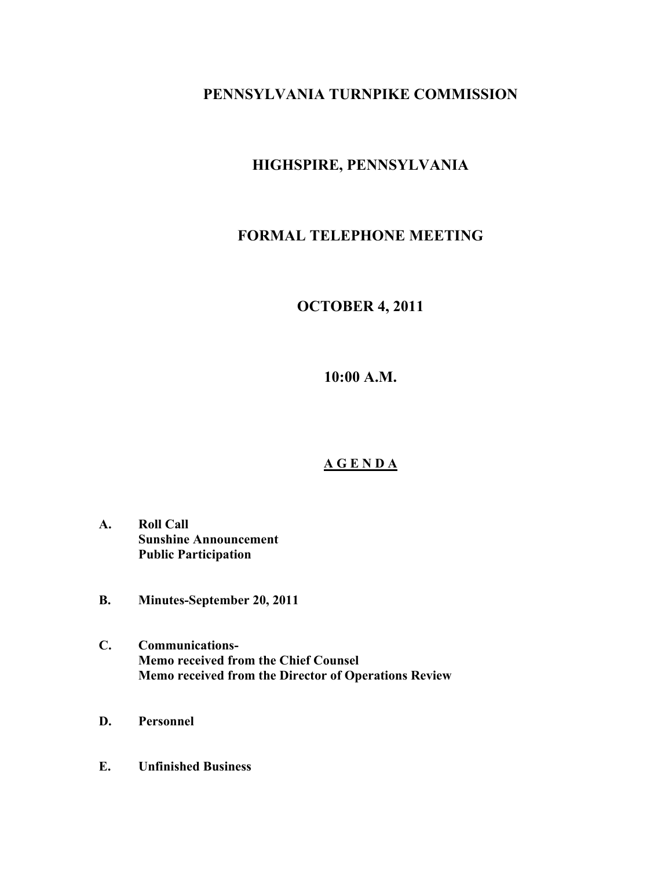## **PENNSYLVANIA TURNPIKE COMMISSION**

# **HIGHSPIRE, PENNSYLVANIA**

## **FORMAL TELEPHONE MEETING**

## **OCTOBER 4, 2011**

**10:00 A.M.**

## **A G E N D A**

- **A. Roll Call Sunshine Announcement Public Participation**
- **B. Minutes-September 20, 2011**
- **C. Communications-Memo received from the Chief Counsel Memo received from the Director of Operations Review**
- **D. Personnel**
- **E. Unfinished Business**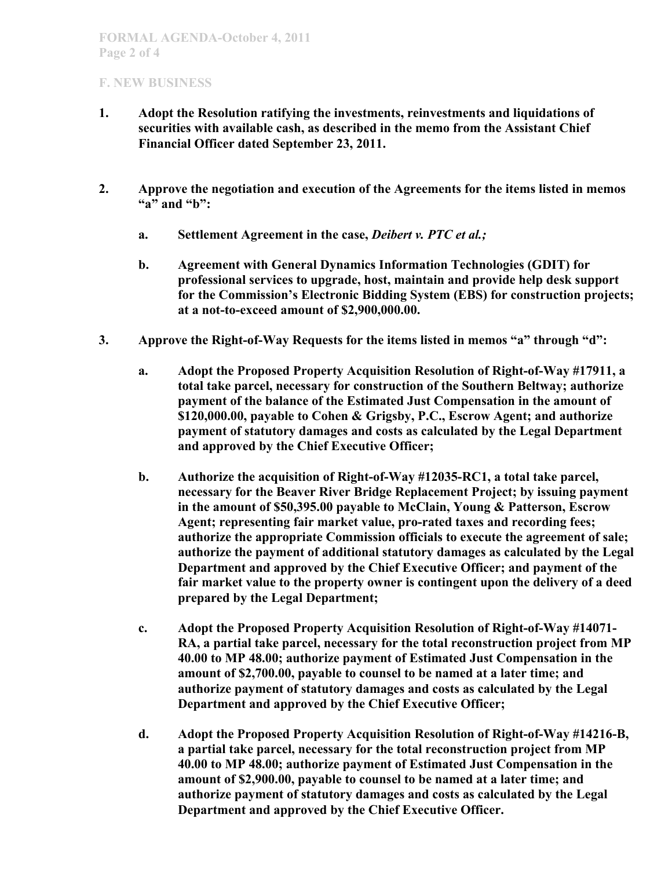### **F. NEW BUSINESS**

- **1. Adopt the Resolution ratifying the investments, reinvestments and liquidations of securities with available cash, as described in the memo from the Assistant Chief Financial Officer dated September 23, 2011.**
- **2. Approve the negotiation and execution of the Agreements for the items listed in memos "a" and "b":**
	- **a. Settlement Agreement in the case,** *Deibert v. PTC et al.;*
	- **b. Agreement with General Dynamics Information Technologies (GDIT) for professional services to upgrade, host, maintain and provide help desk support for the Commission's Electronic Bidding System (EBS) for construction projects; at a not-to-exceed amount of \$2,900,000.00.**
- **3. Approve the Right-of-Way Requests for the items listed in memos "a" through "d":**
	- **a. Adopt the Proposed Property Acquisition Resolution of Right-of-Way #17911, a total take parcel, necessary for construction of the Southern Beltway; authorize payment of the balance of the Estimated Just Compensation in the amount of \$120,000.00, payable to Cohen & Grigsby, P.C., Escrow Agent; and authorize payment of statutory damages and costs as calculated by the Legal Department and approved by the Chief Executive Officer;**
	- **b. Authorize the acquisition of Right-of-Way #12035-RC1, a total take parcel, necessary for the Beaver River Bridge Replacement Project; by issuing payment in the amount of \$50,395.00 payable to McClain, Young & Patterson, Escrow Agent; representing fair market value, pro-rated taxes and recording fees; authorize the appropriate Commission officials to execute the agreement of sale; authorize the payment of additional statutory damages as calculated by the Legal Department and approved by the Chief Executive Officer; and payment of the fair market value to the property owner is contingent upon the delivery of a deed prepared by the Legal Department;**
	- **c. Adopt the Proposed Property Acquisition Resolution of Right-of-Way #14071- RA, a partial take parcel, necessary for the total reconstruction project from MP 40.00 to MP 48.00; authorize payment of Estimated Just Compensation in the amount of \$2,700.00, payable to counsel to be named at a later time; and authorize payment of statutory damages and costs as calculated by the Legal Department and approved by the Chief Executive Officer;**
	- **d. Adopt the Proposed Property Acquisition Resolution of Right-of-Way #14216-B, a partial take parcel, necessary for the total reconstruction project from MP 40.00 to MP 48.00; authorize payment of Estimated Just Compensation in the amount of \$2,900.00, payable to counsel to be named at a later time; and authorize payment of statutory damages and costs as calculated by the Legal Department and approved by the Chief Executive Officer.**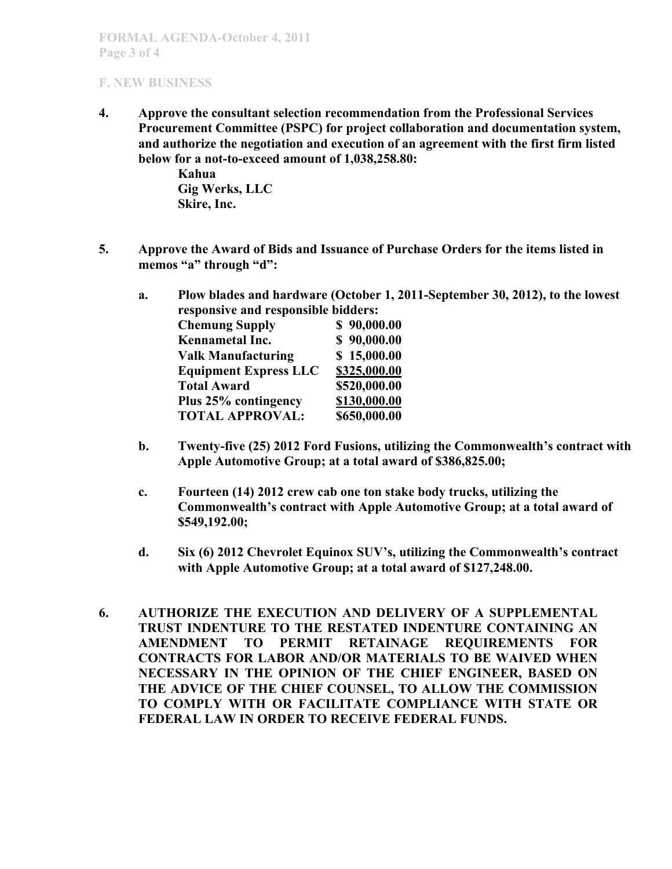### **FORMAL AGENDA-October 4, 2011 Page 3 of 4**

### **F. NEW BUSINESS**

**4. Approve the consultant selection recommendation from the Professional Services Procurement Committee (PSPC) for project collaboration and documentation system, and authorize the negotiation and execution of an agreement with the first firm listed below for a not-to-exceed amount of 1,038,258.80:**

> **Kahua Gig Werks, LLC Skire, Inc.**

- **5. Approve the Award of Bids and Issuance of Purchase Orders for the items listed in memos "a" through "d":**
	- **a. Plow blades and hardware (October 1, 2011-September 30, 2012), to the lowest responsive and responsible bidders:**<br>Chamung Supply 5 = 00,000,000 **Chemung Supply \$ 90,000.00**

| Chemung Supply               | \$90,000.00  |
|------------------------------|--------------|
| Kennametal Inc.              | \$90,000.00  |
| <b>Valk Manufacturing</b>    | \$15,000.00  |
| <b>Equipment Express LLC</b> | \$325,000.00 |
| <b>Total Award</b>           | \$520,000.00 |
| Plus 25% contingency         | \$130,000.00 |
| <b>TOTAL APPROVAL:</b>       | \$650,000.00 |
|                              |              |

- **b. Twenty-five (25) 2012 Ford Fusions, utilizing the Commonwealth's contract with Apple Automotive Group; at a total award of \$386,825.00;**
- **c. Fourteen (14) 2012 crew cab one ton stake body trucks, utilizing the Commonwealth's contract with Apple Automotive Group; at a total award of \$549,192.00;**
- **d. Six (6) 2012 Chevrolet Equinox SUV's, utilizing the Commonwealth's contract with Apple Automotive Group; at a total award of \$127,248.00.**
- **6. AUTHORIZE THE EXECUTION AND DELIVERY OF A SUPPLEMENTAL TRUST INDENTURE TO THE RESTATED INDENTURE CONTAINING AN AMENDMENT TO PERMIT RETAINAGE REQUIREMENTS FOR CONTRACTS FOR LABOR AND/OR MATERIALS TO BE WAIVED WHEN NECESSARY IN THE OPINION OF THE CHIEF ENGINEER, BASED ON THE ADVICE OF THE CHIEF COUNSEL, TO ALLOW THE COMMISSION TO COMPLY WITH OR FACILITATE COMPLIANCE WITH STATE OR FEDERAL LAW IN ORDER TO RECEIVE FEDERAL FUNDS.**